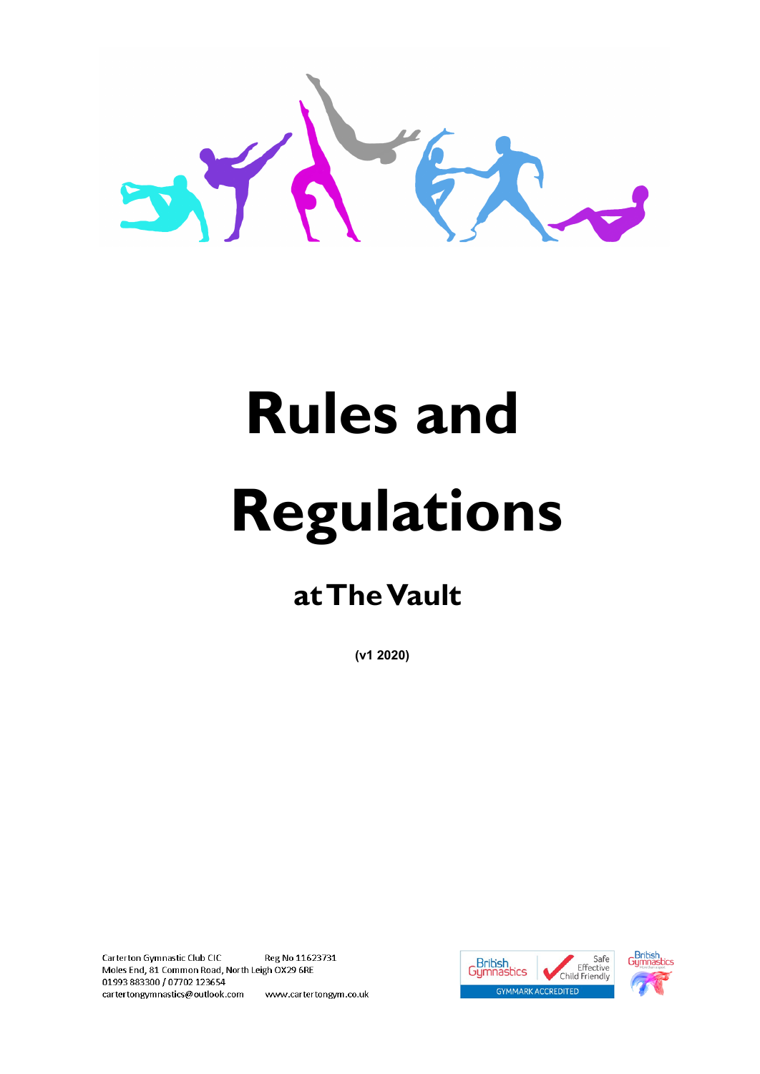

# **Rules and Regulations**

# **at The Vault**

**(v1 2020)**

Carterton Gymnastic Club CIC Reg No 11623731 Moles End, 81 Common Road, North Leigh OX29 6RE 01993883300 / 07702 123654 cartertongymnastics@outlook.com www.cartertongym.co.uk



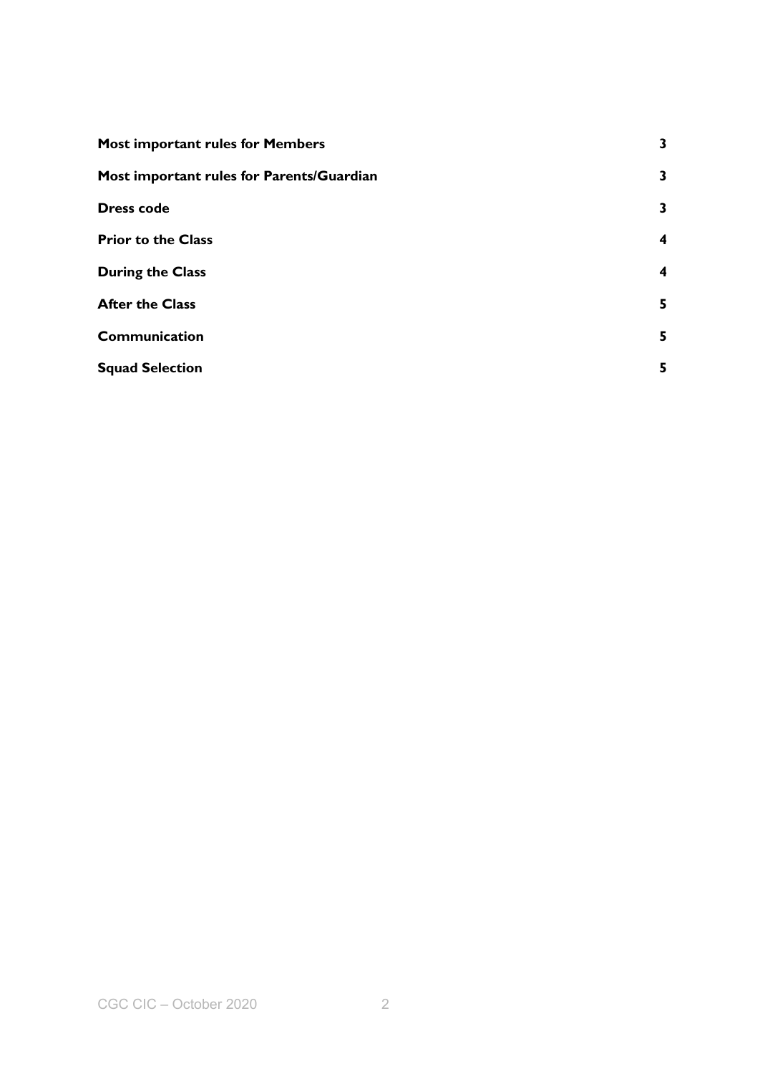| <b>Most important rules for Members</b>   | 3 |
|-------------------------------------------|---|
| Most important rules for Parents/Guardian | 3 |
| <b>Dress code</b>                         | 3 |
| <b>Prior to the Class</b>                 | 4 |
| <b>During the Class</b>                   | 4 |
| <b>After the Class</b>                    | 5 |
| Communication                             | 5 |
| <b>Squad Selection</b>                    | 5 |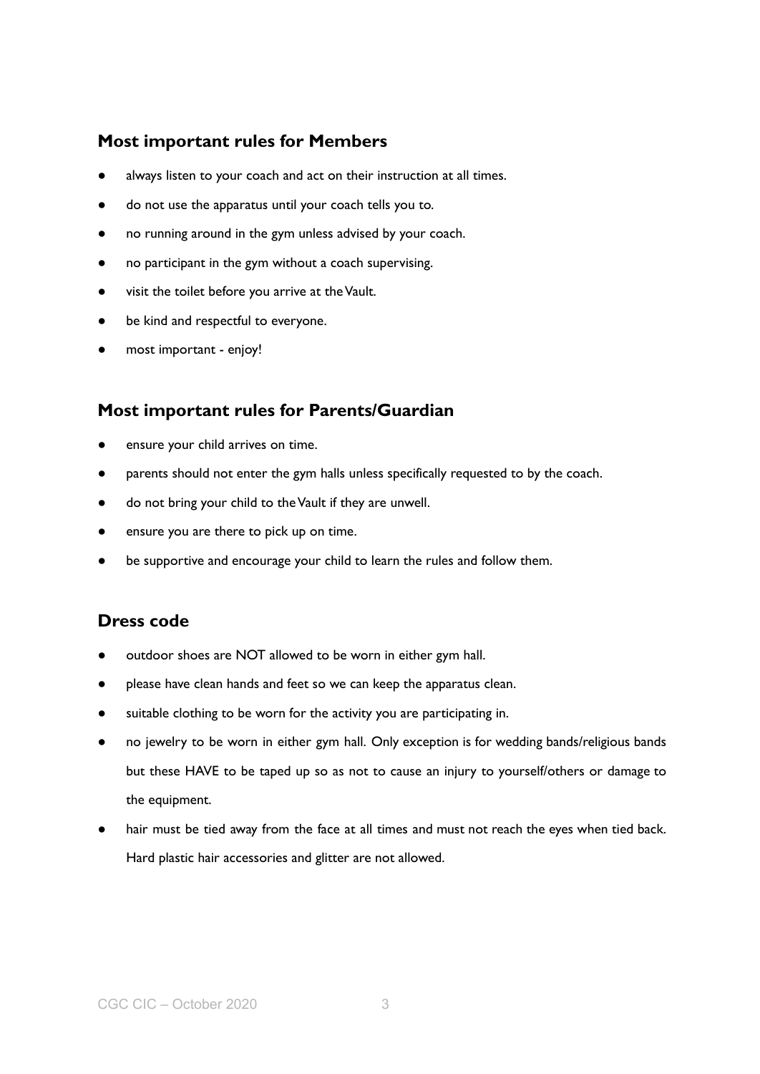#### <span id="page-2-0"></span>**Most important rules for Members**

- always listen to your coach and act on their instruction at all times.
- do not use the apparatus until your coach tells you to.
- no running around in the gym unless advised by your coach.
- no participant in the gym without a coach supervising.
- visit the toilet before you arrive at theVault.
- be kind and respectful to everyone.
- most important enjoy!

#### <span id="page-2-1"></span>**Most important rules for Parents/Guardian**

- ensure your child arrives on time.
- parents should not enter the gym halls unless specifically requested to by the coach.
- do not bring your child to the Vault if they are unwell.
- ensure you are there to pick up on time.
- be supportive and encourage your child to learn the rules and follow them.

#### <span id="page-2-2"></span>**Dress code**

- outdoor shoes are NOT allowed to be worn in either gym hall.
- please have clean hands and feet so we can keep the apparatus clean.
- suitable clothing to be worn for the activity you are participating in.
- no jewelry to be worn in either gym hall. Only exception is for wedding bands/religious bands but these HAVE to be taped up so as not to cause an injury to yourself/others or damage to the equipment.
- hair must be tied away from the face at all times and must not reach the eyes when tied back. Hard plastic hair accessories and glitter are not allowed.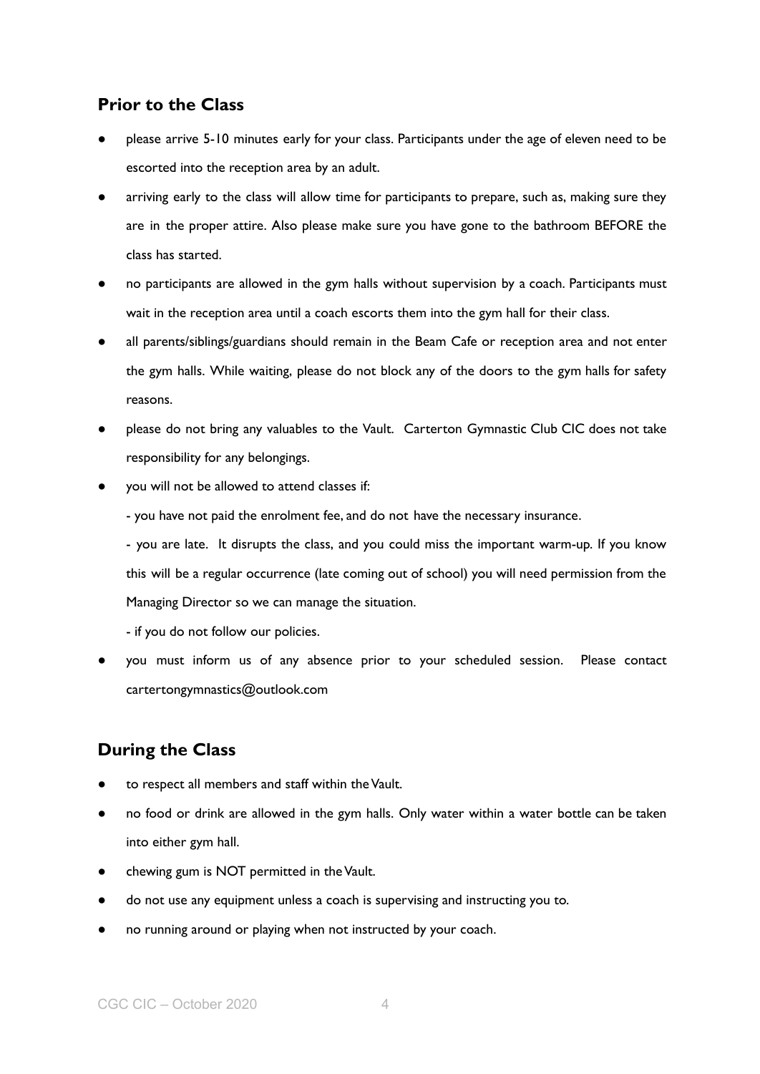#### <span id="page-3-0"></span>**Prior to the Class**

- please arrive 5-10 minutes early for your class. Participants under the age of eleven need to be escorted into the reception area by an adult.
- arriving early to the class will allow time for participants to prepare, such as, making sure they are in the proper attire. Also please make sure you have gone to the bathroom BEFORE the class has started.
- no participants are allowed in the gym halls without supervision by a coach. Participants must wait in the reception area until a coach escorts them into the gym hall for their class.
- all parents/siblings/guardians should remain in the Beam Cafe or reception area and not enter the gym halls. While waiting, please do not block any of the doors to the gym halls for safety reasons.
- please do not bring any valuables to the Vault. Carterton Gymnastic Club CIC does not take responsibility for any belongings.
- you will not be allowed to attend classes if:
	- you have not paid the enrolment fee, and do not have the necessary insurance.

- you are late. It disrupts the class, and you could miss the important warm-up. If you know this will be a regular occurrence (late coming out of school) you will need permission from the Managing Director so we can manage the situation.

- if you do not follow our policies.
- you must inform us of any absence prior to your scheduled session. Please contact cartertongymnastics@outlook.com

## <span id="page-3-1"></span>**During the Class**

- to respect all members and staff within the Vault.
- no food or drink are allowed in the gym halls. Only water within a water bottle can be taken into either gym hall.
- chewing gum is NOT permitted in the Vault.
- do not use any equipment unless a coach is supervising and instructing you to.
- no running around or playing when not instructed by your coach.